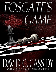# $F$ () $S$ ( $A$ ) $F$ <sup>3</sup> $S$  $\zeta_I/\sqrt{k}$ DAVID C. CASSIDY AWARD-WINNING AUTHOR OF HORROR AND SUSPENSE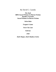# By David C. Cassidy

*The Dark* **IBPA Award Winner In Horror Fiction Readers' Favorite Award Winner In Horror Fiction**

*Velvet Rain*

*Fosgate's Game*

*Never Too Late*

*Gateway*

*1944*

*Dark Shapes, Dark Shadows Series*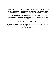*Fosgate's Game* is a work of fiction. Names, characters, places, and incidents are products of the author's imagination or used fictitiously. Any resemblance to actual events, locales, or persons, living or dead, is entirely coincidental.

Names of real public persons, living or dead, and news headlines that include and/or reference the names of actual newspapers are used for fictive purposes only.

Copyright © 2019 by David C. Cassidy

All rights reserved, including the right of reproduction in whole or in part in any form. This work may not be copied or redistributed without the sole written consent of the author.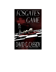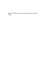Must not all things at the last be swallowed up in death? - Plato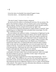#### *~ 1*

Given the choice, he shouldn't have played Fosgate's Game. Given the choice … he should have taken death.

"The devil's hand," Chadwick Harlow whispered.

He stood at the tall windows overlooking the east lawn. He was anxious. His gastric ulcer had been acting up, and was certain to grow worse should things regress outdoors. Storms had a way of upsetting him, and by the grim sound of the rising thunder, he'd be racing for the lavatory by night's end.

 $\sim$ 

He checked his flap pocket and produced a small container of antacids. Upon considering one, he slipped them back and patted them reassuringly. Five left. They would have to be enough.

His eyes bolted to the southwest window. A lasting burst of lightning lit up the expansive study, illuminating an impressive library and an equally impressive array of rifles and pistols in glass cabinets. Above the weapons, mounted and morbid, lay eternal testaments to their lethal hand: heads of Canadian elk and grizzly; trophies of lion and buffalo from the Luangwa Valley in Zambia; fiftyfive pound tusks from an elephant hunt in the Matesti area of Zimbabwe; a leopard from South Africa. It mattered little that he had seen them countless times. In this stark late-evening light they were even more grisly than in the comfort of the day. A peaceful sort, he had never understood how anyone, least of all educated men, could muster the will to take an animal's life. Hunting for food he could appreciate. But for sport? It was criminal.

"Don't lose your bottle," Fosgate Harrod grumbled. He looked quite comfortable in his black leather chair by the glowing hearth. Sadly overweight but still fit despite his years, he could likely wrestle a tiger to the ground. Certainly he possessed the demeanor.

Fosgate's fat fingers hugged the bowl of his long-stemmed pipe. "You're sixty-six, old boy. You'd think by now you'd be over such boyhood nonsense." As he drew on the curved stem, his fleshy jowls stirred. His olive right eye, a dark thing that had always frightened Chadwick even as a child, twitched behind a thin monocle. The eyepiece was more affectation than utilitarian, an admission of which Fosgate would never submit.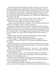Chadwick shifted along the window and made an effort not to get too close. Thunder and lightning were unpredictable beasts that terrified him, so much so he would purposely switch channels during weather reports on television, or pop in a compact disc in his Mercedes'sound system should the need arise. If there was anything more unsettling than actually being caught in a thunderstorm, it was the unnerving strain of the impending event. Another flash of lightning sent him quickly to his chair.

He turned to his host. "I don't believe my father, God rest him, would appreciate your lack of respect for nature's power. If he were here—"

"We'd share a fine laugh at your expense," Fosgate snapped.

Chadwick kept silent. Rebuttal was fruitless, for it wasn't the first time they'd sparred over his phobias. Surely it would not be the last.

Fosgate rose and drew heavily on his pipe. Chadwick studied him. The man held that spark in his eye, the one he had seen—and feared—in innumerable gettogethers: the cold stark stare of the hunter. Still, it seemed fitting, given the tack the evening had taken. The old bugger had been positively mad. He had chalked it up to the cognac, but a part of him still wondered if this bizarre chatter was serious.

Fosgate exhaled, the robust aroma of his English blend overpowering the immediate vicinity. Chadwick detested the foul smell.

"Do you disagree?" Fosgate baited, getting back to this strangest of conversations. "Come, now. Admit it. You're positively seething beneath that dry exterior."

Chadwick hesitated, as his constitution dictated. He checked the clock on the mantel. How he longed to leave this nonsense behind. "Do you take me the fool, Fosgate? This strains the absurd."

"Hear me out. There are men of this Earth … *naive* men … who would have us believe we're all playing on the same pitch. That we're all bloody equal. Do you truly subscribe to that?"

Chadwick sipped his cognac. The conversation had taken its eventual bad turn. It was now just a matter of course that Fosgate would work himself into a mild frenzy over the Muslim and Jew.

Fosgate turned to Willoughby, his faithful manservant of thirty-four years. "Leave us." He motioned with his pipe. "And be sure to lock the front doors on your way. Missed them last night, eh?"

The valet freshened their drinks, capped the cognac and returned it to an attractive cabinet of teak and glass. He rolled his eyes and promptly turned away.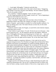"… Good night, Willoughby," Chadwick said after him.

Fosgate waited for the subtle click of the study's French doors. "Sniggering fool. Perhaps I'll be done with him come Monday." He met Chadwick squarely. "Why do you pander to them?"

"It's a sickness," Chadwick quipped. "I pray you don't catch it."

At this Fosgate grumbled, but like Fosgate, waved it off. "You're beginning to sound more like Katherine every year."

"How is she, by the way? Any news?"

"None, I'm afraid," Fosgate said, with more than a hint of irritation. "I'm beginning to believe she *prefers* the company of savages. It's one thing to finance a hospital—quite another to actually live on that dreadful continent. I've given up talking sense to her. The South Africans can have her, for the entire eighteen months."

Chadwick started to reply, but Fosgate, as usual led by some internal compass, steered them back on track.

"I don't believe in pure chance," he said. "Events do not occur because—what do the Americans say?—oh, the eloquence! Because *shit* happens. While the likes of Willoughby drift along some despairing river of hope, *men* … men such as you and I, Chadwick … determine our destiny. Lesser men have fought and died for choice since the apple and the serpent. We, on the other hand, control choice."

Chadwick nodded in compulsory deference. A fair trade for his soul, he supposed, being Executive Vice President to Fosgate Harvard Harrod the Third, President of the House of Sandringham (as Chadwick jokingly labeled it), the ninth-ranked tabloid publisher in England. The circulations of *The Sun* and *The Daily Mail* so outnumbered *The Eye Opener* that one could think of Fosgate's financially troubled rag as little more than ambient noise. His closest competitor was *The London Looker,* a dark reflection of Fosgate's paper. *The Looker* featured black, go-for-the-jugular content, tasking *The Mirror* to see who could dig up the shittiest dirt on the dirtiest shit. Its style held wild fancy for Fosgate; he liked its bite. But above all, he liked its numbers. Adding them to his own would spell a major coup, propelling him quite likely—and quite rightly, he would say—to perhaps the number six position. And from there, who knew what prey might fall to the hunt?

Fosgate moved to the hearth. He took up a rather threatening iron poker and stoked the shimmering coals. This set off a crackling fireworks of yellows and reds, the flames casting a macabre shadow of him across a large tapestry on the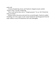north wall.

A furious thunderclap struck, and Chadwick whipped around, startled. "Storm's close," he said, swallowing.

"Have a pill and be done with it," Fosgate groaned. "Go on. We'll finish this when you return."

Without further discussion and much less second thought, Chadwick nodded. Trembling, he set his cognac on the coaster beside him and disappeared from the study without a word. He should have left with Willoughby.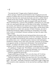#### *~ 2*

"You look the devil," Fosgate said as Chadwick returned.

Drawn and gray, Chadwick paused beside his chair. He glanced across the columns of windows that were at once protecting him and holding him prisoner to his fear. Rain had come, harsh and unwelcome, and with it, another flash of light that sent his skin crawling. "I'll be fine. I'll finish my drink and be off."

Fosgate stood at the hearth, his right arm propped stiffly upon the mantel. Above and behind him, a portrait of his grandfather, smoking the very same pipe at the very same hearth, held vigil over the affairs of the empire. The likeness was uncanny, and Chadwick once asked in jest if Fosgate's father had schooled him on how to be a Harrod. It seemed their natural stance, and the posture often struck Chadwick as a rather rude caricature of Father Christmas, one who'd decided that freezing his nuggets off hauling toys and goodies on his sleigh wasn't nearly as rewarding as chestnuts roasting on an open fire, pipe in lips, cognac in hand.

Fosgate's father, Harrod the Second, had passed these eleven years, and though he had never endured the presence of the First, Chadwick knew these men: each Fosgate Harvard Harrod, each tyrannical, each ruthless. The First—as the unofficial story went—had had his partner, Emerson Gold Sandringham, murdered in a bloody coup in 1933. Forty years later, to the day, *he* succumbed to an apparent suicide, to a drink laced with hemlock. The Second had hung himself—according to the family's lawyer—but Chadwick had always wondered. And for an instant now, found himself wondering about his cognac.

"It is getting on," Fosgate said. "Nevertheless, we do need to discuss a matter of import. As I alluded, you and I are powerful individuals. Yet it's shamefully unthinkable we could possibly be satisfied with our positions."

Chadwick regarded him quizzically.

Fosgate puffed long on the pipe. "Let's cut to the chase, eh? I'm fed up playing second fiddle to that prattling fool. It's time to put an end to this."

Chadwick had heard it all before, year upon fiscal year. Yet on this night, Fosgate held a sharper edge. Perhaps the years of lagging behind Arthur Frost's paper—*The Looker—*had finally twisted this twisted mind so tight it might snap. There seemed no other explanation, for the man had been rambling in riddle all evening.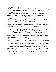Fosgate baited him with a glare.

Chadwick sipped. He was in no mood for games. "Have you learned nothing, Fosgate? Arthur isn't a pushover. He won't surrender control to anyone … especially you."

From Fosgate came not the usual reply, a quick retort, but rather the sickly foul of secondhand smoke. Chadwick, his ulcer quite unsettled, feared his insides might make an appearance. It was all he could do to stem the churning in his stomach.

*"Especially,"* Fosgate agreed, oblivious to Chadwick's discomfort. "But I've —pardon me, *we've*—plenty of friends on Frost's Board."

Chadwick could not argue the point. They were in with several of Frost's key directors. Even *after* that nasty takeover bid had failed. His father, a shark of a businessman but a man of integrity, would not have approved.

"Fosgate," he said, and almost stopped there. "Let it go. I want no part in whatever scheme you've dreamt up this time." He said it with feeling, mostly in fear of the repercussions should they attempt something foolish. The takeover attempt *had* been nasty, what with the embarrassing press and the call for not only Fosgate's head, but the entire Board, himself included. Still, part of his objection was pure defiance, a flying fist in Fosgate's fat face. Perhaps the old bastard *had* put something in the cognac.

A thunderclap startled him, and a splash of his drink spattered the hardwood. "Damn." He drew a handkerchief from his breast pocket and knelt down to tamp at the mess.

Fosgate grimaced. "You're such a klutz, man. Listen to me. What would you say if I told you we could be running the show at A.F. within weeks?"

Chadwick nearly spilled the rest when lightning struck again. A savage wind rattled the windows, and only when it passed did he look up, with all the fright of a child. "I … I'd say it was the cognac," he said weakly, exchanging narrowed glances between the hunter, and the cold rain that battered the glass. "Or rather, I think, you've gone completely mad."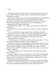The antacids weren't working; Chadwick's ulcer was growing worse. It was far later than he'd planned to stay, but more troubling, the beast outside was growing into a monster.

He rose slowly from his knee, and watched with fascination as Fosgate moved to the southwest window. The man's eyes had widened at the sudden illumination of the thick forest and sprawling hills of the estate. Chadwick's Mercedes looked ghostly in the ceaseless rain, as if abandoned by an unsuspecting traveler caught in the tempest.

Fosgate took some cognac. "We've *taken* control, Chadwick. Already, the game's afoot."

Chadwick's brow rose. It was that snap in the man's voice that worried him. "Eh?"

"Arthur is formidable," Fosgate admitted. "But should the unthinkable happen, how do you rate our chances if that thorn stopped being such a prick?"

Chadwick was about to sip, but drew the glass from his lips. He regarded Fosgate's icy reflection in the windowpane with a grim, vacant stare.

"Don't play the fool, Chadwick."

"I'll be leaving now," Chadwick said stiffly. He set his glass down. "It's more than a tad late. And truth be told, I'm weary of this game."

The wind howled at the towering windows. Chadwick glanced past his host, who had been so obliging, having had Willoughby draw every curtain wide. His stomach turned in tight knots, while a cold finger ran his spine. "Perhaps … perhaps I'll wait a spell." He would have sworn he saw a sliver of a grin cross Fosgate's reflection.

"Certainly," Fosgate said. "It may pass quickly." He turned and raised his glass. "Another?"

Though it numbed his sense to his discomfort, more alcohol would not bode well, Chadwick knew. Nor would venturing out in that maelstrom. "Another. Thank you. But I'm afraid that's my absolute limit." He glanced at the clock. Time seemed to be slowing. And racing.

Fosgate freshened their drinks, then sat in the rouge Victorian chair adjacent to Chadwick. A small table separated them. The menacing reflection of the fire in his eyes, magnified in that detestable monocle, made Chadwick stir.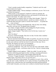"I don't consider murder healthy competition," Chadwick said. He could scarcely believe he'd said it.

Fosgate laughed mildly. "Always jumping to conclusions, you are. You've not even heard my proposal."

"What exactly *is* your proposal?" Chadwick's mind was spinning. He produced his handkerchief, dabbed his brow, and returned it to his pocket. He turned to the hearth. "It's rather warm in here."

Fosgate sipped. He seemed to draw on a deep, black thought. "Think of it. Should Arthur meet an untimely demise—purely by accident, certainly—it would take little more than a push to convince their board to … do pardon the pun … come on board."

"You *are* mad," Chadwick said emphatically. After all, they were talking about *that,* were they not? The ghastly idea of murder?

"As a hatter," Fosgate chuckled, clearly finding this all quite amusing. "You can't tell me they approve of—of *this?"*

Again, Fosgate laughed. "They hold no love for the man, I assure you." "Still—"

"Don't be obtuse."

*Of course,* Chadwick thought. *They have no idea. No idea what a madman they'd be drawing into their lair.*

His eyes narrowed. He finished his drink, too quickly, yet as he rose, the rush he felt seemed to furnish him some much-needed courage. "I'll have none of it," he said, and could not recall the last time he'd said no to this man. Not so fervently. He started to say more, yet reconsidered.

"Come now, Chadwick. No secrets among thieves."

Chadwick straightened. "Very well. You won't get away with murder. Arthur Frost is certainly no saint—Lord knows none of us are—but he's a human being. You're not God."

Fosgate clapped in mock applause. "Ohhh, bra-vohhh," he said, his false expression mimicking grand approval after watching a stunning performance.

Chadwick was about to lash out when Fosgate ripped into him.

"Sit down," Fosgate demanded. "Sit down before you fall to the floor in a drunken stupor. You'll have all of it. Or you'll be next."

Chadwick should have been stunned. Yet somehow, he wasn't. How well he knew the man's wrath; it held the cut of a rapier, the thrust of unyielding will. He wanted to tear a strip from him, but swimming from drink (and knowing full well he hadn't the pluck, never had, never would), he checked himself and eased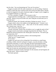into his chair. "Are you threatening me? You can't be serious."

Fosgate sat utterly still. His stark countenance was all too telling. Chadwick wanted to snatch the man's monocle and cram it down his filthy throat, chuckle at what he imagined to be quite a humorous sight as Fosgate's jowls wriggled as he struggled fruitlessly to cough it up.

"I'm not a murderer, Fosgate. I'll not be party to this."

Fosgate held that unsettling calm—a skill sharpened from years behind desk and rifle. "Before you go off at half-cock, don't hang the accused until you've heard the facts."

Chadwick paused. He'd already said plenty. Perhaps too much. "Go on."

Fosgate raised a chin to his trophies as the lightning lasted. "A hunter is not necessarily a killer. Killing is such … dirty work. It's for the common criminal. The common man. I dare say—"

"We're above the common man?"

"Touché, old friend. Touché. But I do believe you've caught the spirit of this."

Fosgate turned to the hearth, seemingly hypnotized by the flames. The eye behind the monocle flickered in the vibrant glow from the fire. "No need to get *our* hands dirty. Eh?"

Chadwick stirred. He eyed the windows with mounting dread.

"Shall I go on?" Fosgate teased.

"If you must."

Fosgate rose and went to his writing desk. He switched on a small lamp, revealing a mildly cluttered workspace of papers, cup and calculator, writing instruments and shears, as well as the large safe that stood beside the desk. Drawing a key from his pocket, he unlocked not the safe (it held an imposing combination lock) but the desk drawer. He removed something quite large, a dark case of some sort, and returned to his chair with it.

Chadwick sat forward, keenly interested. For the moment, he had forgotten all about the storm. "What on Earth is that?"

The hunter grinned.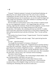#### $\sim 4$

"Unusual," Chadwick muttered. Curiously, he found himself admiring, yet abhorring, the case's deeply stained wood. The color of wine, it had fine, winding grain, but held a musty odor, like a dank cellar. Clearly, painstaking craftsmanship had gone into its manufacture, yet save the small iron hinges and rather simple lock mechanism, it bore little semblance to anything of this age.

*Old,* he thought. Not ancient, but *old.*

The foul smell was not the primary source of his revulsion. Sculpted around the case were nightmarish creatures—vile, fanged things that, alive and creeping, might drip bile and blood. Despite his better judgment, curiosity bested him, and he found the tips of his fingers teasing one of the carvings. Inexplicably, it felt leathery, like something that had once held life. A sudden horror struck him, and he drew his hand away, as if he'd been wandering in the dark and had touched the hard cold skin of the dead. "Pine," he said, and that was all.

"The hardiest from Eastern Europe," Fosgate boasted. "From the Carpathian mountains, I believe."

"Carpathians," Chadwick said with a laugh. "That's quite the leg from the villa."

"It's had … quite the journey."

"You bought this last month? In Germany, of all places?"

"Surprisingly enough," Fosgate said. "I happened upon its purchase during a stroll about the countryside. I submit, the air there is wondrously refreshing. A great help for the circulation. Magnificent scenery … splendid views of rolling hills speckled with farms and vineyards. And the *Weinproben!* Delicious wine for the asking. When Katherine returns, you really must come. She's remodeled the entire place. And of course, she's incessant with her hounding."

"You know I detest flying."

"Bah. You've too many phobias. The *Friedrichsbad* in Baden-Baden—the spa's healing qualities could likely cure your ulce—"

Chadwick's disapproving grimace put the subject back on course.

"Quite right," Fosgate said, almost sounding sincere. "I discovered this exceptional shop in this delightful village near the foot of the mountains. Charming area. Brimming with very down-to-earth sorts."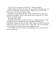"You were in the company of commoners?" Chadwick quipped.

Fosgate slipped a hand into his pocket, then proceeded to unlock the case with a black key; it appeared not metal, but stone. "Taunt me if you will. But this precious gem cost me more than half a plum."

Chadwick was taken aback. But then, in due consideration, he came close to bellowing with laughter. Plainly a joke had been played upon him. This whole business was purely a prank.

Yet Fosgate didn't flinch.

Chadwick examined the case closely. Were it so, Fosgate had spent over fifty thousand pounds on something that, while admittedly interesting, was undoubtedly nothing more than a horrible oddity. Whatever the hell the man had cooped up in there, he was certain it wasn't worth a bob. "You've been rooked," he said smugly. Still, he shrunk in his seat, guardedly curious.

"A fine choice of words," Fosgate said, propping the cover at the menacing toll of a thunderclap.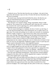#### *~ 5*

Chadwick sat up. That foul odor from the case cut deeper—the rank of time. Again that odd sensation crept over him. Of where life had once flourished, and now but rot remained.

He turned away, drawing fresh breath behind his sleeve. But like the case itself, he found himself drawn by its contents, as if he held no will. As if something unseen were forcing his hand.

The chessmen were repulsive things. Things unspeakable, things no light should stir. The creatures *(Yes,* he told himself, *that's what they are, creatures)* lay recessed in the wood in opposing rows, and he studied them with a nauseating mixture of curiosity and disgust.

The row nearest held figures of alabaster, the first of which was the King. It was viler than the horrible beasts which adorned the case, an uglier sister to an ugly sister. Five inches tall, perhaps two in width at its extremes, its constitution had been roughly sculpted to a vague human form. Body armor protected the torso, arms, and legs. Misshapen fingers on the left hand (which possessed only three) clenched a silvered, sharpened dagger, perched high, as if ready to be buried in a victim's heart. Its head was more monster than human, a gross interpretation by the sculptor; perhaps the work of a blind artist, he mused. It had teeth, by God, few, but apparently roughened to appear vicious. Its piercing eyes, deeply rooted in blackened sockets, were frightfully hypnotic.

Like the King, the Queen was of malformed composition, its harrowing head a mass of roughly gouged eyes and razor-like teeth. Its right arm was raised, cocked to thrust what appeared to be the stone equivalent of a raging ball of fire.

What one would call a Bishop, or rather, two Bishops—although he had to force himself to imagine that the horrors beside the Queen were even chessmen —bore that same disturbing misshapenness. Their fierceness seemed subdued compared to the others, that was, until he regarded their weapons. Each held a staff of silver tipped with a savage blade.

Hulking bodies, half man-thing, half horse-thing, lay in wait, silent Knights of terror. They were hideous mutants with huge horse legs and bulging human arms. Forged armor fitted their chests. Their deformed heads were masked with simple helmets that appeared more like stony blobs of petrified feces than protective headgear. One could imagine the dim yellow of their eyes, creeping in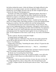the hollows behind the masks. Unlike the Bishops, the Knights differed in that each bore its own unique weapon: one slew its opponent with an oversized broadsword, curved slightly upwards at the tip; the other wrought hell upon its victim by the sling of a flesh-gouging mace.

The Rooks were filthy and repugnant—nightmarish golems. Brick-like in construction, they were far larger than the others. Despite the fact that they harbored no weapons, no doubt they could crush their victims and devour the remains with their oversized and hungering mouths.

Eight smaller creatures, the Pawns, of course—rounded out the white side. These were simpler affairs, little killing machines, no more than disfigured blobs bearing arrow and bow. Still, they settled in the soul like lurking demons.

He examined the dark pieces with equal fascination. No less obscene, they were far more frightening than their counterparts. Although he could not put his finger on it, there was something about them which terrified him. He supposed it was the light, or lack of it, which made them seem more menacing. Or was his mind playing tricks? He clasped his hands together for fear of touching one of them. Yet the temptation to look closer, to pick one up, very nearly overwhelmed him.

He felt a cold stir. The mace of the black Knight—

*It changed hands,* he thought. *It did.*

He sought Fosgate for confirmation. But when the man simply grinned the way he did, his gaze fell back to the case. The mace was back where it was. "Close it," he whispered.

Fosgate did no such thing. "Something the matter, old boy? I'll grant the odor is somewhat offensive."

Chadwick found it impossible to look away. "… They're … extraordinary." "Aren't they."

Fosgate motioned with the set, prodded really, and before Chadwick found the sense to reconsider, found himself reaching for a white Pawn.

*No bloody way I'm touching those black things.*

His fingers trembled as he took it up. As sound as marble, it was cold to the touch. And yet, it felt vibrant at an indescribable level. But how could that possibly be?

"Detestable." Still, he marveled at the bow of stone, the arrow of silver. He ran a finger along the tip, and in a sharp reflex, drew his hand back in pain.

"Careful," Fosgate warned. He took the piece and set it back. "They're quite realistic."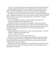"I see that," Chadwick said, his lips wrapped around his pricked index finger.

Another thunderclap rattled him. He steadied himself and sipped from his glass. The alcohol had begun to catch up with him, and despite the need he remain sober for the long drive home, he was grateful for its calming hand.

He noticed a pair of vacant spots inside the case that sat between the opposing sides. Triangular in shape, they were no more than two inches wide at their base. He had wanted to ask, but more pressing matters concerned him. "Fosgate, what's this all about?"

"Let's not get ahead of ourselves. Perhaps a little background first?" Chadwick considered and conceded with a nod.

Fosgate placed the set on the table. He produced a small tobacco pouch, tapped the spent ashes from the pipe into a tall brass collector beside his chair, then refilled the chamber with fresh tobacco. He struck a match and lit up, then worked the long stem with quick puffs. Chadwick stiffened against that malodorous smoke.

Fosgate slipped the bit from his lips. "It has a rather nasty legacy, I'm afraid." "Indeed," Chadwick said, raising a brow.

"I see you're dry. One more?"

*Damn you, old man. I've got to leave before I can't.*

Yet he felt as if he had to stay. Fosgate had sold him quite the bill of goods, had certainly piqued his interest if nothing more. At that he offered his glass, which his host took most readily. He'd have but one more, allow the man to indulge himself. Storm be damned.

Fosgate returned with two filled glasses and made himself comfortable in his chair. He drew up his pipe and sat back, and with a sly, reverent glance to his grandfather, told the tale.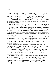#### *~ 6*

"As I'd mentioned," Fosgate began, "I was strolling about this rather obscure hamlet along the *Weinstrasse.* I can't recall the name of the place, for it was a rather strict German-sounding thing, like Krichstein or Strickensmautz or something or other; you know how cold that language is. Katherine keeps on about how simple it is to pick up. I've tried, but keep failing, I'm afraid. Were it not for her relatives and the clean air, I'd just as soon stay in London. At least I can read the bloody signs.

"Katherine had joined her aunt in Freiburg for the weekend. Yes, in pursuit of yet another cuckoo clock. Apparently it's still an art over there, and quite the cottage industry. Well … left alone I had little else to do, and thus a walk seemed to suffice. I hadn't been along more than forty-five minutes when I chanced upon this quaint little establishment at the foothills of a rather mountainous area. More a cross between an old-style bakery and a tuck shop. Although that's not right, somehow. No. It was more like … like something out of a child's fantasy. Like a home of gingerbread!

"It had a plain sign above the entrance. Naturally it was German, and I hadn't the foggiest, but I do remember what it said: *Buchhandlung.* When Katherine returned she translated for me. 'Bookstore.' Needless to say, I was quite embarrassed. But she was right, I assure you. A simple name, but an apt description of the interior.

"When I entered, it seemed abandoned. The only light came from two smallish windows. The smells affirmed my estimation of the place as some sort of bake shop. The thick aroma of pastries filled the air, and true enough, the far end of the shop offered a variety. Cream cakes, fruit flans, breads. I hadn't had breakfast that morning and the walk had made me ravenous; perhaps that was why the aroma was so overwhelming. I can almost smell the freshly baked muffins as I'm talking to you now.

"The rest of the place was no less remarkable. The left side brimmed with rows of bookshelves, each of them stuffed with wonderful titles. I was quite in awe, and quite envious. Dare I say I discovered several first editions, perfectly preserved! A good deal were in German, yet there were volumes in French, Italian, Spanish, and English. Works of Nabokov and Tolstoy. Shakespeare and Homer. *Hitler*.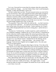"As it was, I browsed for no more than five minutes when this curious little fellow startled me. Strange … now that I think of him, I don't recall hearing his footsteps. A rather odd individual, I assure you.

"Yet that's neither here nor there. The most unusual section was reserved for an area near the back. There, upon magnificent hand-crafted tables arranged in tidy rows, were a selection of the oddest assortment of items. Knick-knacks, Christmas ornaments, bibles, small reading lamps, pottery … other whatnot. It tasked me, taking it all in. Each article seemed to scream for my attention. I recall a rush of gooseflesh running my arms all the way to my neck. I've no idea why these things instilled such a start, yet they did.

"The proprietor? There all the while. He could see the … no, that's incorrect, I've not given him credit here … he could *sense* the feeling I'd received from these curious items. He took me by the hand—I had to stop him, for I'd had a copy of *Mein Kampf* pulled half way from its resting place—and he led me to the tables.

*"'Kommen sie,'* he directed me. A smile escaped me, and he smiled back. It was completely engaging. I suddenly felt very at ease with him. I commented on his fine collections, and he simply nodded. My stomach growled just then, and he mumbled something in German. He left me momentarily, only to return with the most delicious slice of Black Forest cake. He pulled up a wooden stool and sat upon it in a very delicate manner. I thanked him for the offering, and ate while he spoke. His words ... sharp and cutting ... due certainly to that language. Clearly he knew English, but he struggled with it. Yet at the same time, he was quite hypnotic.

*"'Dreams,'* he told me, raising the oldest finger to his lips. I'd no idea at the time what he was on about. He slipped off his stool and moved slowly about the tables. He seemed quite fragile, yet graceful in his way. He mumbled. German gibberish. It was then that I'd realized he was seeking something very particular. Occasionally he'd pause upon a certain item; lean close to it and put a hand to his ear. Do you recall the sensation I'd experienced earlier, as if the wares had screamed at me? It was truer than I'd imagined. Certainly you could discard it out of hand. I mean, here was this odd-looking Aryan listening to … to *things.*

"How odd-looking? Odd. He bore an ancient face. As old as the hills, eh? His crisp white hair was striking against the drab clothing he wore. Silky. Angelic. Yet what I recall most vividly are his shoes—old, supple leather—if only because he made no sound as he stepped. He seemed out of sync with the world … out of time, if you will.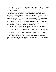"Perhaps I'm overplaying his appearance, but I can see him as clearly as I see you now, Chadwick. He had this vividness about him. Spirited, yet down to earth. Very sensible …

"Yes. Sorry. Where was I? The tables, thank you. Did I mention that he stopped and *listened* to some of the items? I did. Good. Well then, you have a fine sense of his oddness then. As I consumed my cake, he persisted a solid ten minutes in his search. Finally, he stopped at the table furthest from me and began moving items to and fro. One item in particular—heh, heh, I'm certain it was a fake, although still I can't be certain—was a golden chalice. The man was extraordinarily cautious with it, trembling as he moved it from the table to a small shelf. As if God Himself should strike him dead should he drop it. The cup of a carpenter? I learned soon enough not to dismiss it.

"Security? I've no idea how he safeguards these things. Surely some of the texts are invaluable. And his recipe for Black Forest cake is positively priceless. But most of the articles in that shop—if not every last urn and chalice—must be counterfeit.

"Say no more, Chadwick. Has he taken this old Englishman for a fool? Perhaps. But then, perhaps not.

"The history! Ahhhh, yes. Let's get to that, eh? Let me refresh you first. I think you'll need it. How's your condition? Good. Perhaps the storm will pass. There you are. A toast! To the past. To the *future."*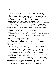#### $\sim$  7

"I suppose I'll start at the beginning," Fosgate said. "The proprietor had finally settled upon a large, rather nondescript chest. Oak, if I recall. He pondered a moment, and just when I had figured this was not what he'd been looking for, he produced a set of keys and unlocked it. Curiously, he raised the cover ever so gently so as not to disturb what was hidden inside. Like the chalice, he seemed in awe of it … respectful. And utterly fearful.

"Of course it was the extraordinary case you see here. My first impression was similar to your own. A rather disturbing affair, but one that offered a story begging to be told. Honestly, Chadwick, when he brought it to me I thought it might harbor nothing more than cutlery … perhaps some worthless treasure maps or trinkets.

"He removed the case from the chest and insisted I take it, and at first I protested. He slipped a key from his key ring—this one, yes—and handed it to me. I nearly dropped the whole mess I was so nervous, yet I've no idea why. But something swept through me, practically flooding my senses with want. The need to *know.* Whatever the facts, I was completely taken. It was as if a spell had been cast upon me by this strangest of magicians.

"He egged me on, and I opened it. What I saw made my skin crawl. Like you, I'd not wanted to be anywhere near these pieces, much less touch them. But they held this attraction, this power … I mumbled something or other, and the old man laughed.

"Curious … his laugh didn't suit him. Nothing like I would have imagined it to be. Counterfeit. Like the rest of his collection.

"At any rate, the cards were stacked against me. Of all the curiosities strewn about the place, the old man had settled upon *this.* Yes, I'm certain. He *knew*. Knew no matter what the ask, I'd pay. You see, it wasn't a question of price. It was a question of desire. Far more than you can imagine. The damned thing had a hold on me that was entirely intoxicating.

"Still, not really wanting to—you can understand how stupid I must have felt —I could hardly believe it when I informed him I'd take it. Without so much as asking the price! He laughed, clearly satisfied. Perhaps a part of him was relieved … to see it go, eh? Truth be told, the nape of my neck tingled at that laugh, and it still vexes me that I can't reconcile that face with the laughter. It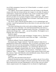was of little consequence, however, for I'd been hooked—or rooked—as you'd so eloquently put it.

"Yet I digress. The set itself is hundreds of years old. It dates to the fifteenth century from what the German told me, but I suspect it is far older. He spoke of a Dark Prince, a brutal tyrant who held no soul. A man so sinister that to maim and to kill seemed like sport. Men, women, children … tortured … raped. Forced to eat their own excrement. Pregnant women slashed open, their unborn devoured by this demon. His bloodlust knew no bounds. I must admit, my own lust for the device had quickly soured.

"Yes, *device.* That's what the man had called it. As if it contained gears and switches. I myself had questioned him on that choice of word, and at that, he told me of the witch.

"The Prince held deep ties to the occult, and according to legend—as relayed to me by this curious individual—his witch had presented this to her lord as a means of raging war against his greatest enemy at the time—*Christianity.* It had spread across Europe, and … well … you see his problem. The kingdom was in jeopardy. How well we understand."

Chadwick sipped.

"What he told me next stirs anger and disgust," Fosgate went on. "The Prince, having placed his faith in the device, used it that very night … to kill fifteen children."

Chadwick stiffened. Close by, thunder threatened.

Drawing his pipe, Fosgate continued. "Upon this madman's death, the set disappeared for almost half a millennium. Now, if you know your history, you'll know that what were once the principalities of Moldavia and Walachia now constitute most of present-day Romania—yes, Transylvania. But this isn't a vampire story, although it certainly holds root. You see, Walachia was ruled by several Princes—Vlad the Third, to be more precise—Vlad Tepes. Correct, Chadwick: Tepes … 'The Impaler.' Of course, Stoker based an entire novel upon him. And yes, Tepes ruled Walachia in the mid-fifteenth century. History tells us he killed thousands … perhaps *twenty* thousand."

"Fosgate—"

"How many fell to the hand of this device?"

Chadwick chuckled nervously. Surely this was rubbish, after all. Yet in all his years, he had never known Fosgate to tell such a grand tale. Still, he had to admit that at some level he was truly enjoying this; it was as if they were two school chums camped around a fire, hanging on the very thread of a frightful ghost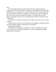story.

"It was when the proprietor spoke of the Nazis that I started to believe," Fosgate said. "The Fascists under Ion Antonescu controlled Romania. My father actually met him, of all places, in a café in Brussels in 1937. At some point, the set was discovered and fell into Antonescu's possession. In 1941 he sided with the Axis, and to score points with the Germans—no doubt keenly aware of Hitler's fascination with the occult—presented him with the set when they met in Bucharest."

"That may be," Chadwick conceded. "But it doesn't prove the set was owned by Tepes."

"Did you know that what is now Bucharest was originally a medieval fortress? And was itself the residence of the Princes of Walachia?"

Chadwick said nothing.

"Surely Hitler was intrigued," Fosgate said. "Here was another toy to play with—another slice of his Final Solution pie. Almost immediately, he began experiments at Auschwitz."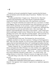#### *~ 8*

Chadwick sat forward, astonished by Fosgate's assertion that this bizarre chess set had been used at the death camp of Auschwitz. "Rubbish. You're not suggesting—"

"A million perished there," Fosgate cut in. "Mostly the Jew. Most from starvation and extermination. How many fell prey to gruesome medical experiments? Further, I submit that some of the experiments went beyond science. I've become somewhat of an expert on the war, as you know. I've done some digging. There are several documented cases where prisoners were used in bizarre occult experiments. In one scenario, a captive would be brought into a room offering no more than the cold comfort of a wooden stool, whereupon they were instructed to sit and wait until further notice. After some length—the duration varied unpredictably, from hours to mere minutes—some of these poor devils would begin to shriek in terror. Without fail, they would claw at the door, pleading to be set free. Only when the screaming stopped—often *much* later, for fear of what lay beyond—would the soldiers open the door. Signed witness accounts testify to this.

"A good deal died in that room. The fortunate few who survived were completely mystified over the entire experience. Nothing at all had happened to them. They were shot, naturally, so as not to arouse undue suspicion. One could suppose that luck *had* smiled upon them, eh? Considering the madness that had taken the others. Still, it's unclear why they'd been unaffected by the experiment.

"Indeed, Chadwick! *Yes.* I've asked myself that very thing. Why *wasn't* the device used against the Allies? Perhaps it was. But consider: even a rigged game of chess takes several moves from opening to checkmate. Utterly inefficient. No. This is an insidious device, for more … shall we say … *personal* use. Hitler may have tried to eliminate Churchill or Stalin with it—I'm certain of that—but perhaps distance is a factor here. Whatever its power, its range may be limited.

"One other thing. Look at this. No. Here. On the inside of the case cover. Do you see?

"Forgery? That was my assessment as well.

"I engaged three independent handwriting experts to authenticate—or disprove—the signature. Each compared it against known, legitimate signatures. A perfect match."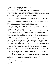Chadwick met Fosgate with suspicious eyes.

Fosgate could only grin. "Even if the story is nothing more than a wild sales pitch, I'm guilty of succumbing to its charm. Yet of this I am certain: this is Hitler's signature. That alone makes this discovery invaluable.

"Make no mistake, Chadwick. This is the genuine article. Take a look beneath the black Queen. Please … indulge me. She won't bite.

"Intriguing, wouldn't you say? Now examine the others.

"Quite right. Conspicuously absent from both Kings. Yet all others bear the mark."

Still holding a white Pawn, Chadwick considered the inscribed pentagram at its base. He set the piece back and was glad to be rid of it. "Perhaps it's due to the fact that a King can't be used to defeat the other King."

"Excellent," Fosgate said. "Rules are rules, even in magic. As for the other pieces? What I now believe—as certain as that signature—is that the mark represents an instrument of death."

"Preposterous," Chadwick said, yet found himself doubting his disbelief. "Do you hear what you're saying? To suggest—to *entertain—*that this is some sort of hocus pocus, to be used to slay one's enemies ... are you even listening to me?"

Fosgate seemed adrift in his own thoughts. He slipped the pipe from his lips and sipped some cognac. His monocle flickered in the sudden lightning. "I have photographs … but I'm aware of your delicate constitution. You see, those captives at Auschwitz—those in the experiments—I failed to mention a rather disturbing fact regarding their demise. Each victim died under different circumstances. Some gutted with a large knife or sword. Others hacked to death. Others beheaded. Shall I fetch the photos? No? I thought not.

"What tasks me is that all of this had gone on while they were isolated in a locked room. Yet there are no accounts of what actually transpired behind that door."

"Nothing?" Chadwick said. "That's hard to imagine, given the Nazis notoriety for keeping records."

"Precisely. If there are records, they've eluded me. But ever the hunter, I did manage to track down an old film reel—and paid a fair price to have it restored. The film was quite damaged, but a short segment was saved."

"And?"

No reply was forthcoming.

"Fosgate?"

"It shows … *something."*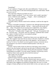"Something?"

"I can't explain it," Fosgate said, after some deliberation. "It lasts no more than a few seconds. But it is the most terrifying breaths one could endure. Would you care to see it?"

"Not in the least. What do you *think* you saw?"

Again, Fosgate considered. "I can't say, exactly. And I couldn't speculate."

"I see," Chadwick said, nodding. "… Fosgate … there's something else."

"Yes. The … *survivors,* if you will."

"Why weren't they harmed?"

"I do hold a theory. Should a match end in stalemate, would not the target be spared?"

"Seems a reasonable assumption," Chadwick said, although humoring Fosgate seemed the worst thing he could do. "Tell me … what exactly *did* you pay for this … *thing.*" He paused, his eyes tracing every sculpted line, every shadow, among the pieces. "Admit it. You didn't really spend what you told me."

*"'Der preis?'* I'd finally asked," Fosgate said. *"'Sehr gut,'* the proprietor told me. *'Und sehr teuer.'* 'Very good. And very expensive,' Katherine later warned me. I admit: I'd fallen for the set. Cost mattered nothing."

Chadwick's silence said it all.

"Agreed," Fosgate granted. "I should have been on my way right then and there. But I suppose I may have led you astray on the price. Expensive, certainly —and very likely worth much more due to that signature—but not nearly as much as I've let on. I'm afraid I was never good at currency conversion, but in my estimation it was closer to fourteen hundred pounds. Cash only, you understand.

"Clearly, I had no funds of that sort about me. But being a man of means … suffice to say, the German's old eyes lit up with what I'd offered in barter. Hard to imagine, isn't it? This curious fellow driving about the mountains of Baden-Württemberg in my BMW. I can only assume, naturally. I left the keys, but he would have had to make quite the trek to fetch the motorcar."

"The Coupe? Are you insane?"

"The Cabriolet, I'm afraid."

Chadwick barely mustered a chuckle. The storm tempered him.

"Do you see?" Fosgate said. "The little Shylock knew only too well I'd wanted the set. As I said, of the countless items available, he offered this. As if it had called to him, begging to be proffered. Perhaps that's the way it is in that strangest of shops; perhaps each item merely bides its time, year upon year, until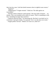their time has come. Until that fateful moment when its rightful owner returns." "Rightful?"

"Happenstance?" Fosgate retorted. "I think not. The odds against are incalculable."

And then, before Chadwick could respond: "The man spoke of dreams … *my* dreams. This is not founded on the whims of chance. There is something at work here. Something far larger than ourselves."

Chadwick shook his head. "An interesting tale. But there's one detail you've overlooked. And quite frankly, I'm surprised. You've no idea this even works."

Fosgate puffed. Sat back. "Indeed. Let's have at it, shall we?"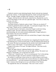Chadwick started at some deafening thunder. Harsh wind and rain slammed against the windows. A chill rippled through him, further stirring the black ill in his gut. "Enough, Fosgate. Enough of this nonsense. I really must be off."

Fosgate, who had moved to the hearth, stoked the fire. Hunched the way he was, his long shadow on the wall cast a ghoulish sight. "You'll do as I deem. By God man, you will."

"I beg your pardon."

The hunter turned to Chadwick, poker in hand. "What are you afraid of?"

Chadwick plunked his drink on the table. "I've had quite enough of this," he said, rising. "Thank you for a wonderful evening."

He turned his back to the hearth, certain that Fosgate would never bring himself to strike. The man's admission of distaste for such a deed notwithstanding, the very notion seemed unfathomable. Fosgate harbored a black temper to be sure, but to kill him?

He stepped softly to the doors, and as he reached them, Fosgate's sharp tongue slapped him.

"I wouldn't, Chadwick."

Chadwick held a moment. He closed his eyes, imagining the long drive home in the battering rain. If only he'd left earlier; if only the damned storm had let up.

He turned. His head was spinning from the alcohol, but he held enough of his faculties to parry with Fosgate. "I'm not afraid to go to the police."

Fosgate set the poker in its stand. The lights flickered. "And what exactly might you say?"

Again, the lights faltered. Lightning flashed at the windows.

Fosgate grinned. "I think it best you stay the night, old boy. The storm's not letting up. And besides, you've had much too much."

"Damn you!" Chadwick said. "You've no moral ground. You've been plying me with alcohol all night. You had no intention of allowing me to leave."

He seethed. It would take at least an hour on a mild evening to reach home, but on a night like this? He reeled at the vivid recollection of a slippery roadway, an overturned lorry … and what remained of the guardrail where his drunken father's motorcar shot through on its way to the bottom of the Thames.

He regarded the chess set with disdain. "This won't work. It *won't."*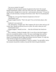"Are you so certain I'm mad?"

Chadwick did not respond; instead, he glanced at the clock. He excused himself momentarily, made a call to his wife on his cell—almost asked her to call the police, thought not to worry her—and returned to the study. "I'll stay the night," he said anxiously, reacting to the furious wind. "But I'm not playing that game."

"Indulge me. Let's put that Chadwick skepticism to the test."

"And should I win?"

Fosgate laughed heartily. "That's the spirit! You are the better player, after all."

Chadwick's eyes narrowed.

"Ah, all business," Fosgate said. "But I suppose all's fair in chess and war, eh? I defer, then. Should you prevail, the set is yours. Do with it what you will."

"And should I lose?"

Fosgate laughed. "Should you lose … then this old hunter has found new prey."

*This is madness,* Chadwick thought. Still, it was all too clear that Fosgate's desire far exceeded his ability to resist. The man would badger him until the storm passed, which held no sign of abating. And yet, he rather fancied the chance of winning the bloody thing and tossing it into the Thames. To wipe that smirk off that arrogant face would be priceless.

He took up his drink and finished it. "Fetch us another," he said stiffly. And at that moment, beyond the windows, beyond this Earth, the gods thundered.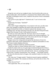#### *~ 10*

Along the west wall sat two wingback chairs. Each faced the other across an Italian marble table, which doubled as a chessboard. Brass British soldiers led by the Duke of Wellington stood at arms, readied for the pewter French commanded by Napoleon.

"Do we have to play right here?" Chadwick said. "I can't sit next to this window."

Fosgate drew the drapes. "Satisfied?"

"Not at all."

With a huff, Fosgate indulged him. It was massive to be sure, yet after some effort, they managed to reposition the board to their seats near the hearth. Fosgate freshened their drinks as Chadwick replaced the chessmen. It was unsettling work, and upon removing it from the case, the black King had nearly slipped from his grasp. If only it had smashed into pieces.

He took up a seat on the white side. *The lesser of two evils,* he thought.

Fosgate returned with their glasses and smiled at the seating arrangement. "Of course, Chadwick. I suspected as much." He went to take his seat, but stopped. "My word … in all this excitement, I nearly forgot."

Fosgate went to his writing desk and opened the side drawer. From it he produced a thick book, and he lumbered back to Chadwick and handed it to him. The Greater London telephone directory.

Taking it, Chadwick looked up, positively puzzled.

"Would you rather we choose someone dear to you?" Fosgate snapped.

Chadwick reeled. Until now, his quite logical mind had disputed all of this as folly. But as he felt the heaviness of the directory in his hands, the reality of what they were about to do struck him with both barrels. And yet, something clicked inside of him. A duality consumed him. Fear, certainly … and morbid curiosity.

He thrust the directory back to Fosgate, who snatched it easily. Ever alert, ever the hunter.

"Oh, come now," Fosgate snarled. "Empirical research requires established constants and variables. The constants are obvious, set by the rules of chess. The variables—"

"Then why not *Frost?"*

"All in good time. Now, as I was saying—"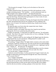"This has gone far enough. I'll play you for the damn set. But not for someone's life."

Fosgate cleared his throat. He spoke as he did in the boardroom, in that cutting, calculating manner. "The variables … are the unfortunate souls not bright enough to have unlisted numbers." He flung the book back.

Chadwick nearly fumbled it as he caught it. He steadied himself. His gaze fell upon the dark King, which held all the grotesquerie of a burn victim. Its eyes seemed to pierce his soul like a knife.

He rose. He had every intention of leaving, but Fosgate shoved him solidly at the chest, driving him back into his seat. Stunned, his eyes widened at the distinct cock of a pistol. He looked up, disbelieving, a deadly barrel bearing down on him.

He spied the glass case from where the weapon had come. Empty. *He fetched it while I made the call.*

He held no doubt it was loaded. Who knew how long the man had been planning this. He'd even waited for the perfect storm.

Fosgate was grinning. "I could finish you right here and now," he said matterof-factly. "But where's the sport? You know how so I love a challenge. The hunt. Chess is tea for two. A *tango."*

"Please," Chadwick said, his voice trailing off. He flipped open the directory, telling himself this was all a bad dream. Telling himself it wouldn't work anyway. Heaven help them if it did.

"No peeking," Fosgate ribbed. The lights failed a moment as the wind wailed.

Dismayed, Chadwick closed his eyes. He took second and even third thoughts, then plunked a finger down on the page. He opened his eyes. Lightning lit up the room. "Stanley, D … 48 Ashwood," he whispered.

A pair of scissors—no doubt these, too, lifted during those scant few minutes of his call—beckoned when he looked up. His eyes said, *Now what?*

"Cut out the name," Fosgate instructed.

Chadwick received the shears. As they passed from Fosgate's hand to his, the thought of taking them and driving them through the man's heart stirred him. "Can't we just write it?"

"Cut," Fosgate commanded.

Chadwick deferred. He cut along the page between the first and second columns and cut out the name with delicate precision. Fosgate then handed him a pen and instructed him to strike out the name on the flip side of the snippet, which he did, but not before catching a glimpse of the name there: Stewart,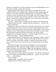Alfred. He wondered if it would be enough, this name-scratching business. Dare they think such folly would protect the man?

Fosgate prodded with the pistol, and Chadwick, grasping only too well, nodded. Setting the first clipping aside, he flipped to another random page, and with but a few careful snips and a scribbling of the pen, offered one Gordon Cooper as a lamb. He presented this one to Fosgate, who took it eagerly, and set the directory on the floor. He mused how fitting it would be if he'd drawn *their* names—not that they would have proceeded—but of course they weren't listed. Chances were, none of their circle were.

"The pen … and the shears," Fosgate said. He took them and set them aside.

Chadwick spied the poker—imagined himself reaching for it—and froze. He cursed his indecision.

Fosgate drew a drawer from the side of the table and produced a pair of small, pyramid-shaped items. One was white, one charcoal, the constitution of which Chadwick could only speculate. They struck him as aged things, yet they bore no symbols or script. Closer inspection of the white one revealed a scarcely visible line separating its peak from the base, indicating a cap, and on further consideration, two thoughts struck him: it would fit snugly into the case in one of those vacant spots … and its diabolical purpose.

Fosgate handed him the white pyramid. It was surprisingly weighty, a pound if an ounce. Curious but cautious, Chadwick tried to open the top to no avail. He turned it clockwise, felt no give, and only a counter-clockwise move did the trick. It clicked loose and he removed the top, revealing nothing save an empty vessel.

He looked to Fosgate, and watched with trepidation as the man placed his clipping inside the black receptacle. Fosgate stuffed it in with his left index finger, careful not to set off the pistol's trigger with his right hand. Chadwick followed suit and capped his container with a click. The rather innocent sound seemed to echo deep inside his brain.

"Part and parcel," Fosgate explained, capping his. "The old man's instructions were clear. Simply insert something to identify the … *target,* if you will. A lock of hair … a ring, perhaps."

"Or just a name."

Fosgate nodded. "Apparently that's all it needs."

"Apparently all *you* need," Chadwick said.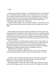#### $\sim$  11

Chadwick launched the experiment—an experiment he prayed was doomed to fail—by leading his Queen's Knight. As he set the piece down, a small, lonely voice inside his head tasked him: *Don't do this.* A grueling forty-five minutes later at the strike of one, he moved his surviving Knight into position, his hand trembling. His ulcer threatened to double him over, and he faltered as he muttered that single, deadly word. "Checkmate."

Fosgate met him squarely—his eyes seemed to blacken—and offered no more than a mischievous grin. He had lost the match, but the real game was about to begin.

 $\sim$ 

Silence slipped between them, and for the longest time the only sounds were of driving rain and crackling fire. When thunder struck like a resounding cannon, Chadwick shivered with terror; his gaze whipped to the west window. Impatient with him during one of his longer moves, Fosgate had opened the drapes there, the storm blowing more fiercely from that direction, knowing full well it would put him off his game.

"May I draw those?" he asked, getting up with his drink. At the window, he drew one panel and then the other. He moved quickly to the southern side with the intent on closing the drapes there too, but as he did, lightning lit up the estate, illuminating it for several seconds. He held short, a sharp cold rippling through him. His Mercedes beckoned in the roundabout driveway.

He held his back to Fosgate. "And now?"

"We're in the news game," Fosgate said dryly, as if they were discussing possible headlines for the outcome of a dreary economic summit. "We wait."

 $\sim$ 

A dim glow from a bedside lamp kept Chadwick calm until four; they had retired at two. The storm ended, mercifully, and he, feverish and terrified, slipped into a drunken darkness. He did not dream.

At breakfast (which was hot black coffee for the listless Chadwick, a hearty meal of poached eggs, potatoes, and various muffins for Fosgate, the weekend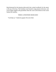help dismissed for the duration afterward), they waited wordlessly for the report at the top of the hour. The breakfast room boasted a large plasma television, and even Fosgate rippled with gooseflesh when the crawl at the bottom of the screen flashed the headline.

#### THREE LONDONERS BEHEADED

"God help us," Chadwick gasped. His ulcer bled.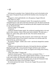Still dressed in yesterday's best, Chadwick did not wait for the details in the news report. He ignored the pain and fled the breakfast room, hurrying to the study.

Wrapped in a thick gold bathrobe over silk pajamas, Fosgate followed. "What? What is it, man?"

Chadwick stood at the chessboard, fearful. The receptacles lay amid the vanquished pieces at the side of the board. His heart raced. He almost turned and ran. Only guilt forced his hand. He snatched up the dark receptacle and removed its cap. He peered inside.

A sliver of paper. A life spared.

"Chadwick—"

Chadwick shushed Fosgate angrily. He swallowed something thick as he took up the white container. A part of him stood cold in disbelief. The other part, a darker one, spoke softly, spoke only the truth. The truth he already knew.

*This is real.*

Slowly, he turned the top of the receptacle, and it clicked open. The sound resonated inside of him as if he'd drawn a stone door to an ancient tomb. He removed the top, and his heart sank.

He turned to Fosgate—neither said a word—and slowly dumped the contents onto the board.

Ashes.

Chadwick's eyes glistened as they grew. He found the directory and began flipping through it like a man possessed. Fosgate told him to get a hold of himself, but he heard none of it. At last, he stopped at the listing where *Stanley, D,* had been.

"What, man? *What?"* Fosgate said.

Chadwick whirled around. "There were three, you bastard. *Three—"*

His voice choked off, and he had to gather himself. Without a word, he moved to the south window. His Mercedes called for him in the warm morning sunshine, as it had called to him during the storm. If only he'd listened; if only he'd risked the drive home. Even if he hadn't made it.

He turned and faced the hunter. "Do you see, Fosgate? Do you see what you've wrought?"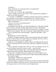"Chadwick—"

"Don't Chadwick *me,* you bastard. Don't you understand?"

"Certainly. I'm not stupid."

"No. You're not. You *knew* this would happen."

"I knew nothing of the sort. But I admit, I had considered the possibility. A variable in our little experiment."

"A *variable?* A *VARIABLE?"* Chadwick snatched up the directory, offering it like a game show host teasing with a handful of cash. "What do you say, Fosgate? There are three *pages* of Stanleys. Why not just leave off the *D?"*

"Don't be ridiculous."

*"Why not cut out every last fucking name?"*

"Chadwick, your ulcer—"

The big book struck the floor as Chadwick doubled over. The agony brought him to his knees, and when Fosgate approached, he struck a defiant hand. Fosgate hurried from the study, and when he returned with a cold glass of water, Chadwick took it quickly with a pair of antacids. Fosgate helped him to his seat.

"You've murdered three innocent people," Chadwick said feebly. "Their families—"

He looked up, to a face of cold stone.

"Rubbish," Fosgate said plainly, clearly more concerned with retrieving the directory. "But I'd think twice about what you're thinking. The fact is, even if the police did believe you, you're as guilty as I."

Chadwick was ill-equipped for rebuttal. Things were happening too fast. He felt dizzy. His hands fell cold, and his head ached with a hangover. He held his tongue.

"That's a good lad," Fosgate said. "Cheer up. We've no need for concern. It's not as if the police could ever connect us with … what the devil?"

Chadwick followed Fosgate's gaze, which had fallen upon the Knight that Chadwick had used to best him. Blood spattered the broadsword.

Fosgate drew a handkerchief from his pocket and ran the Knight's sword across the silk. Carefully, he slid the tip of his finger along the glistening blade.

"Be careful, Fosgate—"

"Remarkable," Fosgate said, under his breath.

*"Remarkable?* Is that what you think?"

Already, Fosgate was going for the radio on his desk. The report offered little details on the murders, the police even less. He lowered the volume as the next story began, about a two-bus collision near Trafalgar Square.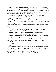Chadwick's insides were knotting, like worms in a bait box. Suddenly, the name Albert Stewart leapt into his head, the name he'd blacked out with ink. The report made no mention of him. Perhaps his body hadn't yet been discovered. Or —and he prayed to God he was right—the man *had* been spared from the dark force they'd unleashed. "We've got to stop this. *Now."*

"To the victor go the spoils," Fosgate agreed. "Our wager was clear."

"I've no intention of keeping *that,"* Chadwick bellowed, pointing to the set as if it were some kind of rabid animal. "It's cursed."

Fosgate laughed. "Listen to yourself. Now who's mad?"

Rising slowly, Chadwick mustered: "Fine. I'll drown it in the Thames. I'll see to it on my way."

But the sly hunter soured. Fosgate slipped the pistol from the deep pocket of his robe. "I think not."

"We agreed. Fosgate … *please."*

"Shall we?" Fosgate said, drawing a seat at the table. When Chadwick resisted, he motioned with the pistol.

"I'd rather a bullet," Chadwick said, though his game face was wanting. "You would indeed. There *are* worse ways to go."

Chadwick's attention slipped to the chessboard. To the Knight's blade. "You wouldn't. Fosgate. You wouldn't."

Fosgate slipped the pistol in his pocket. "Perhaps not," he said, making himself comfortable. "But I expect your best efforts. No deception. We play to win." He blew the ashes from the board, and then his eyes narrowed. "I trust you *do* understand, eh?"

"Fosgate—"

Fosgate ran a hand above the board as he scanned the pieces, finally settling on a menacing Rook. The black thing looked as if it could crush a person's skull with a glance. "Dreadful, isn't it," he said, more statement than question. "I can't imagine what such a beast might do to your dear Eydie."

Chadwick felt as if a blade had pierced his heart. "Bloody Christ," he said, and sat.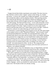#### *~ 13*

Fosgate decreed that further experiments were needed. This time, however, they had been careful to select "targets" unique in their listing. As a further precaution—to narrow the variables, eh, Fosgate had quipped—for each name, they included the address and the telephone number. Three grueling matches drew long into the afternoon, and Chadwick, despite his failing spirit, had become quite efficient with his Knight, having twice dispatched Fosgate with some deft strategy. The third and final victory—if one could call murder victory —came with his Rook, and after a rather subdued tea in the breakfast room, he followed Fosgate to the study. Cognac in hand, he sat at the south window fearful of the growing cloud cover, while Fosgate tuned to the BBC. Chadwick prayed for a miracle, not really believing one would come to pass.

Anchored by a woman bearing a thick European accent, the radio report began with an update on the so-called "Phonebook Phantom," what one quick-witted newshound had dubbed the serial killer who had beheaded three victims, all unrelated other than by last name and first initial. Police were baffled, admitting they possessed not a single lead, yet were hopeful that London's latest murder, that of nineteen-year-old Thomas Crowley, an employee of a filling station in Romford, would turn out as the break they were seeking. Crowley had been crossing in front of a parked vehicle when, according to one witness, was attacked—the anchor paused for effect*—by the air.* The young man had scrambled about the lot screaming as if chased, and to the shock and horror of onlookers, was suddenly beheaded.

The anchor went on. Just a few kilometers away, in Chigwell Row, the body of an elderly woman was discovered in her home by her niece. Elizabeth Brighton, aged 87, had also been beheaded, fueling outrage toward officials.

The report continued. In yet another bizarre and unrelated incident, a jogger had come upon the crushed remains of a man in Hyde Park. The brutal crushing of the man's upper body, particularly the head, would make identification "extremely difficult, if not impossible," according to PC Colin Murphy.

Chadwick was ashen. He felt weak, as if he'd run a marathon. There had been no mention of any others—the individuals he had "inked out" on the reverse side of their clippings—and he was thankful for small miracles. Still, what did it matter now? The hounds of hell were already circling.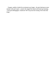Fosgate, unable to bottle his excitement any longer—his grin had grown more sinister with each report—roared. He clapped his hands and stood up, beaming. "Cod from Billingsgate, Chadwick! We'll sup into the evening. We'll dine like kings."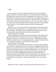#### *~ 14*

It was precisely 9:37 that evening when Esther Frost heard her husband talking to himself in the ensuite bathroom. She looked up from the king-sized four-poster bed, beyond the rim of her reading glasses, and lent an ear. At first she believed it a prank, yet in their forty-three years of marriage she had never known him to do anything remotely humorous. She asked if he was all right, but what came in reply was a discordant sound. A staccato crackle*,* like scurrying rats in the walls. Arthur called out to her, shouting, and as she sat up, paralyzed at his frenzied voice, she heard the definitive shriek of breaking glass.

The mirror.

Despite her years, she sprang from the bed, upsetting the solid gold lamp on her night stand. Fear gripped her as she scrambled barefoot across the marble floor to the door. She stopped cold at the guttural sounds beyond; it was as if some monolithic creature pounded step by step along the floor.

And thus began his screaming.

Her heart pounded as she thrust fist upon fist at the door. She tried the latch, but Arthur had locked it; he always did. The sliver of light beneath the door dimmed as a thick river of blood flowed to her feet. A child-like plea slipped from her husband's lips, and a resounding thunder, a sound eerily similar to that of a bowling ball dropped to a hardwood floor, silenced him.

And thus began her screaming.

When detectives from the Yard forced the door, a smashed, blood-spattered mirror offered a hundred reflections of Arthur Frost's bludgeoned remains. His limp body was curled beside the expansive marble tub. Blood ran from several deep wounds along his arms, the result of blocking blows; it was as if someone had struck him again and again with a spike. His face had caved under the assault, his nose and teeth lodged deeply within his skull. Beside him, an intriguing rounded cavity had been carved into the marble, several inches across. Later, upon due investigation, the coroner would log that the deceased had perished from severe trauma, a result of sustained blows from "a mace-like" weapon.

Within three weeks of Arthur Frost's death, the Board of Directors at A. F.

 $\sim$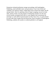Enterprises initiated preliminary merger proceedings with Sandringham Publishing, amid unbridled rumor and speculation. Frost's best friend and confidant, one Jameson Argyle, sought legal action to block the merger, but the attempt failed. After five grueling weeks of legal wrangling, lawyers on both sides, utterly ecstatic over the prospect of lining their pockets over the next several months, prompted both sides to come together and consummate the marriage in a semi-official announcement on New Year's Eve, at a party hosted by none other than Fosgate Harvard Harrod the Third, President of Sandringham Publishing, suddenly the number six tabloid publisher in all England.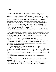#### *~ 15*

On New Year's Eve, after the last of the help and the guests departed— Fosgate's newest enemy, Jameson Argyle, the very last—Chadwick had wanted to follow. He had had quite enough of Fosgate and his growing arrogance. Still, he couldn't leave. He had once again exceeded his limit, which had ballooned from two to eight drinks in only eight harrowing weeks. Eydie had left long before the countdown, using a headache as an excuse. She held no love for Fosgate as it was, and if she had only known him as he truly was, would have despised him. He could see her now, curled up in their bed, her lovely silvers curled around her face, her tiny smile as teasing as a sweet dream. How he wanted to hold her again. How he loved her.

He could only pray that his plan would work. It had to. Not for his sake. For hers.

Fosgate joined him in the study. The weather outside was frightful, as the song went, and his ulcer had begun to act up. His head throbbed. His tired eyes were bloodshot. A rabid wind off the North Sea threatened to slip through every cranny of the ancient estate, and he was, with each passing minute, becoming more certain that the gods were conspiring to undo him.

He shivered as he cupped his cognac. It was uncomfortably chilly this night, and he nodded silent approval as Fosgate lay some kindling in the hearth. Minutes later, as the flames began to work their magic, he managed a small smile, for the first time in months.

*"You're* in better spirits," Fosgate observed, lighting his pipe.

Chadwick said nothing. He seemed to shrink in his chair. Never a large man, he had lost twenty-two pounds since that first match, a match that now seemed a lifetime past. When the nightmares came, he would start in his bed, mind racing, heart pounding, fearing the shadows. Terrified of some vile creature riding horse, slinging blade.

He was beginning to believe he was losing his mind. *Madness begets madness.*

Like his dear wife who would hold him in those dark hours, his doctor had told him to slow down.

*Slow down.* He could laugh at the thought. They were hardly slowing down. Fosgate took up his familiar stance at the hearth, arm upon mantel. He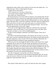regarded the south window with a small rise of his loose and ample chin. "I so loathe that man." Sleet crackled against the glass.

"Argyle? He'll come round."

"Don't patronize me. You know I detest that."

"You've got control, Fosgate. Need it be total?"

But it had to be, Chadwick knew.

He had found prayer, but prayer held no substance; just fleeting faith. He had tried to believe that as it went on, he would wake in his bed to the sweet sounds of the dawn, the nightmare ended. But the killing had gone on and on, page upon page of faceless souls, carved and crushed by God-knew-what as Fosgate forced him to pick and to cut and to cap, name upon name, in an obsessive hunt to eliminate the one man who had opposed him during the merger—the one man who still opposed him at every turn. Argyle.

To be sure, he had suggested that Fosgate do it himself. But as the hunter maintained, where was the sport? It was a ridiculous notion, the killer with a conscience, yet there it was, in all its maddening glory.

To date, he had managed a stalemate in just three matches. Three out of seventeen.

The others? He had bested Fosgate in all fourteen, the last nine in a row. He didn't dare reveal he'd attended each funeral. Nor did he reveal he had sent tidy, yet quite anonymous, sums, to each of the victim's families. Meanwhile, the Phonebooth Phantom remained at large, gripping the populace.

With every move he had fought the desire to throw each match, have Argyle dispatched. But at what cost? His dear Eydie. He had had no recourse but to struggle for stalemate in every game; with all his heart he had given his all. He had let slip clear chances for advancement when Fosgate stumbled, his only luck that Fosgate, being the lesser player, had not discovered his deception. The matches had given him fits, straining mind and soul, for there seemed no end to this madness. No end to this checkered killing field.

The only saving grace was that they met only on Thursdays.

He drank. Let his mind drift. In the warmth of the hearth's glow, he saw his lover, his true love. Were it not for her, he might well have taken his *own* life; might have taken that bullet, after all.

They spoke of little import for a spell, and when the time came, Fosgate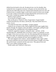shifted from the hearth to the safe. He glanced once over his shoulder, then worked the lock. In apparent reverence, with great care he removed the case, which he now held under strict lock. Paranoia had snared the man in its web, and Chadwick knew its spindly fingers would clench around *his* throat soon enough. It was only a matter of time before Fosgate defeated him and moved on to his next victim. A politician, perhaps. One of the Royals.

*Madness begets madness.*

It was all part of Fosgate's Game.

They set the pieces, Chadwick white, Fosgate black. Fosgate handed Chadwick the directory, the shears, and the pen. They had murder down to a science. An *art.*

"I do think the book feels a tad lighter," Fosgate quipped.

Chadwick saw no humor in this, and he flipped the book open roughly threequarters through. He snipped a name and address, and Fosgate, puffing his pipe and eyeing the fire, reminded him of the telephone number.

Chadwick capped his receptacle, sealing the name—and fate—of this unsuspecting soul. Admittedly there was always a chance at a stalemate, or even a Fosgate victory, but in an ironic twist, his chess-playing skills had sharpened to their finest edge. He'd joked that perhaps *he* should play for Argyle's head, but Fosgate, never one to abandon the hunt, had not laughed in the least.

The wind whipped at the windows, and he shuddered. Some cognac settled him, but he stiffened as his ulcer burned. He led his Queen's Knight, as he often did, and the hunter countered with the same move. They glanced into each other's eyes, neither trusting the other.

Neither spoke until Chadwick's final move.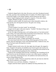#### *~ 16*

Chadwick slipped back in his chair. His nerves were shot. He glanced around the study, pausing at that unsettling shrine of trophies. He stifled a laugh. It came to him that Fosgate, in his infinite madness, had all along seen the head of Jameson Argyle hanging proudly among his conquests. A fine joke, indeed.

Fosgate, defeated yet again, cast him a raised brow.

Chadwick smiled weakly. He turned away to those damnable windows, the wind and the snow driving like the devil. The gods were closing.

He listened.

And waited.

"I'll have another if you don't mind," he said finally.

Fosgate took his glass with mock surprise. "Another? The Band of Hope will be knocking at your door, old b—"

At the very edge of hearing came a soft rustling sound, as if rats had scurried in the ceiling. Yet it had snaked itself around them from all directions. Their eyes fixed on each other. Both heard it. Both tried to deny it.

*It's not rats,* Chadwick thought as it came again.

"What the devil *is* that?" Fosgate said sharply. He wavered.

The stone lamp beside them went flying, shattering against the base of the hearth. Only the muted glow of the coals illuminated them. Chadwick froze, the beat of his heart nearly driving him to scream.

#### *It's come.*

Fosgate whirled in half circles, left, then right, then left again. He stopped to listen. Trapped in the gloom, he fumbled away from his guest and cursed as he stubbed a knee against a table. He hurried to his writing desk and reached for the lamp, his outstretched hand guiding him like a blind man.

Chadwick felt something whisk past him. Something cold. Something *old.* He leapt from his seat into the darkness, too late to see a black specter coming for him. It struck him, slamming him back. He tumbled to the hardwood floor, the massive thing falling onto him.

He groaned, winded. Whatever pinned him rolled off, and when he rolled the other way, he realized it was Fosgate.

The hunter was on all fours, breathless. *"Chadwick—"*

Fosgate raised his head to speak, but suddenly his body jerked back. His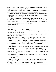monocle popped free. Chadwick sensed by sound it had hit the floor, bobbled twice, and was now swinging from its chain.

Fosgate fumbled for it, his hand sweeping at nothingness. Cursing, his weight shifted, and he grunted as his ample mass slammed to the floor.

Chadwick shivered in his next breath; the room had fallen frighteningly cold. He caught movement from the corner of his eye and whirled right. *Something* had struck Fosgate, something *big.*

Paintings, books, Fosgate's trophies—seemed to slither along the walls. Chadwick rubbed his eyes trying to refute the lies they were surely telling. The objects appeared as a flowing, living force, rippling the way they were. Clearly it was madness, just a trick of the forbidding light.

But no. Not a trick.

Not the light.

The *darkness.*

It moved swiftly. Deftly. Like a mercenary.

Another sound came, piercing his heart. Cold steel, raging against colder steel. As if someone had drawn a sword.

The darkness moved on Fosgate again. Three pounding footfalls, dreadful and heavy. The stalking of giants.

Still breathless, Fosgate managed to raise his head. A groan escaped him, a slick wheezing sound that made Chadwick wince. *"Help meeeeee, Chadwick—"*

There was silence then, a lasting one, and at that moment Chadwick believed he might wake from this terrifying dream, screaming, unable to stop, unable to breathe. But then came a stirring rush of air, silenced by a bottomless *whoooomp.*

Time seemed to still, but in reality only a second had passed before Fosgate spoke. It came, *My Gott*—Germanic in tone and inflection, as the peculiar man who had sold him this nightmare might have uttered it—but it wasn't really a phrase, not exactly. It was more a choking sound one might make had their vocal cords been severed in a breath.

Fosgate held still in a sound state of preservation, an overstuffed pheasant of a man. He blinked at Chadwick.

One last time.

Chadwick stifled a scream the moment Fosgate's head came undone and slipped to the floor. The man's body slumped in a heap. In the gloom, he heard the head as it rolled along the hardwood, ear upon ear, toward the foot of the hearth. With each revolution came a sharp *clink* amid a thin metallic sound …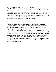the monocle and its chain. Then the rolling stopped.

Chadwick's heart skipped two beats. Surely he was next. A part of him prayed for it.

But then, there it was, a rippling of the darkness, shifting as it sheathed its weapon. For an instant the light stilled, and Chadwick, disbelieving, saw the horror, saw the madness, and before his heart began to beat again, the thing was gone, scurrying into the black depths from which it had come. All he heard was the slightest rustling in the ceiling … and then nothing.

 $\sim$ 

Chadwick held on all fours. His chest ached. His stomach was in knots, threatening to come. The storm had ebbed, the wind dying, yet a crackle from the hearth startled him. He was certain that whatever dark demon they had conjured lay lurking, waiting to slay him.

He turned to the body, turned away in disgust, only to find himself face to face with Fosgate. The chain had caught in his thinning hair, curling over his ear and draping along his cheek. The monocle lay on the floor, drowned in dark, pooling blood. The man's weak eye was shut, the other wide, the hunter ever stalking.

Chadwick groaned as his ulcer tasked him. He steeled against the pain. He crept to the hearth and curled up, trembling. For the next three hours he lay still, his soul lost. Of itself the darkness bared nothing, yet if it had, he firmly believed he would have fallen insane.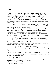#### *~ 17*

Chadwick stirred awake. He had finally drifted off, and now, with dawn beckoning, he supposed he should be on with it. In the faint light, he saw the grim shape of Fosgate's head and the thick crimson pool around it. He kept his wits about him, holding back the simmering ill in his gut. He struggled to sit up.

His gaze fell to the chessboard. To the white Knight that had finished Fosgate. A thin splatter of dried blood lay at its feet, the spatter just below the tip of the bloodied blade.

Quickly, he gathered the chessmen into the case and slipped the receptacles into his pockets. He set the original pieces on the board, haphazardly enough to make it appear as if a match had been played.

At the study doors, he stopped and turned. He drew a long last look at the remains, shame and anger sweeping through him. Twenty minutes and two antacids later, he was driving along the Thames in his Mercedes.

As the sun came up, he reached the Thames Estuary and chartered a vessel. Two miles from the mainland, he killed the engine. The icy sea rolled gently, a fine mist glowing along the horizon.

He moved from the cabin to the rear of the boat. The January cold made him shiver, yet it served to invigorate him. As far as his weary eyes could take him, they told him what he needed to know. He was alone.

He took up the case and fought the urge to toss it overboard. As he opened it, he reeled at the grim odor. The vile stench of death.

He removed the white King. Hideous. How he loathed it.

He flung it as far as he was able, grinning at the splash. He did this with every piece.

The case sank quickly.

He drew the receptacle from his left pocket. The dark one. He removed the top and drew out the slip, the name printed there unmistakably of Fosgate's hand. He chuckled, and it felt oddly good.

*You're a lucky man, Argyle.*

He tossed the container and its cap, relieved to see them gone. The paper fluttered free as he released it to the frosty wind.

He drew the white receptacle and removed the cap.

The sea swallowed the ashes.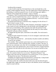Swallowed the receptacle.

A rush of relief swept him. He looked down at the seat beside him, at the Greater London telephone directory. Save the single patch of blood splattered on the binding, it could have passed for new. For the real thing, quite rightly, a duplicate of the original that lay beside it. And so it should.

Computers. They'd revolutionized the publishing industry. It was amazing what one could accomplish these days, even if—*especially* if—you had to do it yourself. It was just as easy printing a telephone directory—even one as unique as this—as printing some trashy tabloid.

He picked up the directory. It had been easy, swapping it for the old one. If only he'd done it sooner. If only.

He had come to the estate the day after Christmas, around three. Fosgate was in the country all week, making merry with old friends, and Willoughby had been most accommodating. After a pleasant chat under the pretense he had papers for Fosgate to sign, he had let himself into the study, his valise stuffed. He had left with just as heavy a burden.

He flipped the big book open, somewhere in the middle. The wind turned a few pages.

Despite his guilt, despite the insanity of it all, he managed a small smile at the names. Page upon page.

All *Fosgate Harvard Harrod …* and naturally, the phone number and address. *To narrow the variables.*

The variables. There seemed a great many now, yet he told himself he'd not worry about the police. They'd question him, certainly. Let them. The facts, as far as he was concerned, were clear. He'd overindulged at the party, had retired around two after some spirited chess, and as much as he knew, Fosgate had been fast asleep in his bed when he left at the dawn. He was just as shocked as they were.

He looked far across the sprawling sea, for answers he knew would never come. He wanted to believe he was no more "Phonebook Phantom" than Fosgate, that in the end, they themselves were merely pawns. It was a good lie.

He played his last move. The directories sank quickly.

Trembling, he fought the guilt that threatened to consume him. A deep breath calmed him as he let the fat globe of the sun warm his soul.

His heart ached. He would see his dear Eydie soon; slip into bed and spoon. He might falter, might yet surrender his days to the darkness, but he would spend what he owned with her.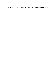A cold tear slid down his cheek. The game finally won, he headed for home.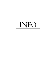# INFO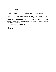## *~ a final word*

Thank you. I hope you enjoyed this little diversion. A short road trip into madness.

*Fosgate's Game* was inspired by my earlier days of playing chess, and my constantly wandering mind. During a particularly slow game against one of my brothers, I had become quite bored waiting my turn, and as luck would have it, I imagined a darker version of the game we were playing. He ended up winning that game. Lucky for him.

Until next time, my friend. Be well.

David April, 2013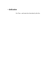# *~ dedication*

For Tina—and some hot chocolate by the fire.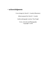# *~ acknowledgments*

Cover design by David C. Cassidy (Illustrator)

eBook prepared by David C. Cassidy

Author photograph courtesy Tina Forgét

Cover, Artwork and Photography Copyright © 2019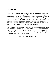#### *~ about the author*

Award-winning author David C. Cassidy is the twisted mind behind several chilling books of horror and suspense. An author, photographer, and graphic designer—and a half-decent juggler—he spends his writing life creating tales of terror where Bad Things Happen To Good People. Raised by wolves, he grew up with a love of nature, music, science, and history, with thrillers and horror novels feeding the dark side of his seriously disturbed imagination. He talks to his characters, talks often, and most times they listen. But the real fun starts when they tell him to take a hike, and they Open That Door anyway. Idiots.

David lives in Ontario, Canada. From Mozart to Vivaldi, classic jazz to classic rock, he feels naked without his iPod. Suffering from MAD—Multiple Activity Disorder—he divides his time between writing and photography, reading and rollerblading. An avid amateur astronomer, he loves the night sky, chasing the stars with his telescope. Sometimes he eats.

### www.davidccassidy.com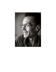